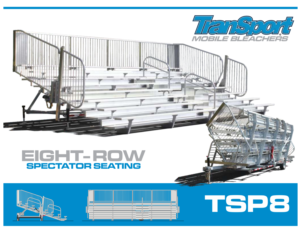



# **TSP8**